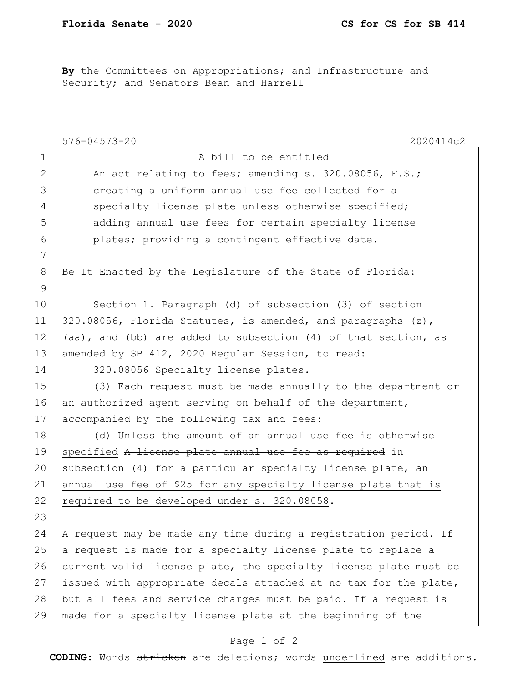**By** the Committees on Appropriations; and Infrastructure and Security; and Senators Bean and Harrell

|              | $576 - 04573 - 20$<br>2020414c2                                  |
|--------------|------------------------------------------------------------------|
| $\mathbf 1$  | A bill to be entitled                                            |
| $\mathbf{2}$ | An act relating to fees; amending s. 320.08056, F.S.;            |
| 3            | creating a uniform annual use fee collected for a                |
| 4            | specialty license plate unless otherwise specified;              |
| 5            | adding annual use fees for certain specialty license             |
| 6            | plates; providing a contingent effective date.                   |
| 7            |                                                                  |
| 8            | Be It Enacted by the Legislature of the State of Florida:        |
| 9            |                                                                  |
| 10           | Section 1. Paragraph (d) of subsection (3) of section            |
| 11           | 320.08056, Florida Statutes, is amended, and paragraphs (z),     |
| 12           | (aa), and (bb) are added to subsection (4) of that section, as   |
| 13           | amended by SB 412, 2020 Regular Session, to read:                |
| 14           | 320.08056 Specialty license plates.-                             |
| 15           | (3) Each request must be made annually to the department or      |
| 16           | an authorized agent serving on behalf of the department,         |
| 17           | accompanied by the following tax and fees:                       |
| 18           | (d) Unless the amount of an annual use fee is otherwise          |
| 19           | specified A license plate annual use fee as required in          |
| 20           | subsection (4) for a particular specialty license plate, an      |
| 21           | annual use fee of \$25 for any specialty license plate that is   |
| 22           | required to be developed under s. 320.08058.                     |
| 23           |                                                                  |
| 24           | A request may be made any time during a registration period. If  |
| 25           | a request is made for a specialty license plate to replace a     |
| 26           | current valid license plate, the specialty license plate must be |
| 27           | issued with appropriate decals attached at no tax for the plate, |
| 28           | but all fees and service charges must be paid. If a request is   |
| 29           | made for a specialty license plate at the beginning of the       |

## Page 1 of 2

**CODING**: Words stricken are deletions; words underlined are additions.